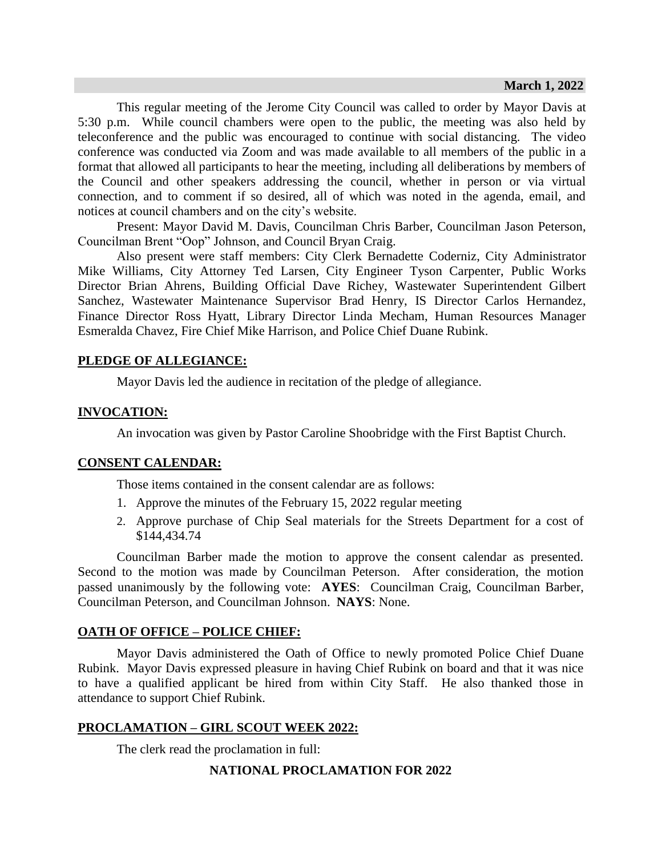This regular meeting of the Jerome City Council was called to order by Mayor Davis at 5:30 p.m. While council chambers were open to the public, the meeting was also held by teleconference and the public was encouraged to continue with social distancing. The video conference was conducted via Zoom and was made available to all members of the public in a format that allowed all participants to hear the meeting, including all deliberations by members of the Council and other speakers addressing the council, whether in person or via virtual connection, and to comment if so desired, all of which was noted in the agenda, email, and notices at council chambers and on the city's website.

Present: Mayor David M. Davis, Councilman Chris Barber, Councilman Jason Peterson, Councilman Brent "Oop" Johnson, and Council Bryan Craig.

Also present were staff members: City Clerk Bernadette Coderniz, City Administrator Mike Williams, City Attorney Ted Larsen, City Engineer Tyson Carpenter, Public Works Director Brian Ahrens, Building Official Dave Richey, Wastewater Superintendent Gilbert Sanchez, Wastewater Maintenance Supervisor Brad Henry, IS Director Carlos Hernandez, Finance Director Ross Hyatt, Library Director Linda Mecham, Human Resources Manager Esmeralda Chavez, Fire Chief Mike Harrison, and Police Chief Duane Rubink.

## **PLEDGE OF ALLEGIANCE:**

Mayor Davis led the audience in recitation of the pledge of allegiance.

## **INVOCATION:**

An invocation was given by Pastor Caroline Shoobridge with the First Baptist Church.

## **CONSENT CALENDAR:**

Those items contained in the consent calendar are as follows:

- 1. Approve the minutes of the February 15, 2022 regular meeting
- 2. Approve purchase of Chip Seal materials for the Streets Department for a cost of \$144,434.74

Councilman Barber made the motion to approve the consent calendar as presented. Second to the motion was made by Councilman Peterson. After consideration, the motion passed unanimously by the following vote: **AYES**: Councilman Craig, Councilman Barber, Councilman Peterson, and Councilman Johnson. **NAYS**: None.

## **OATH OF OFFICE – POLICE CHIEF:**

Mayor Davis administered the Oath of Office to newly promoted Police Chief Duane Rubink. Mayor Davis expressed pleasure in having Chief Rubink on board and that it was nice to have a qualified applicant be hired from within City Staff. He also thanked those in attendance to support Chief Rubink.

## **PROCLAMATION – GIRL SCOUT WEEK 2022:**

The clerk read the proclamation in full:

## **NATIONAL PROCLAMATION FOR 2022**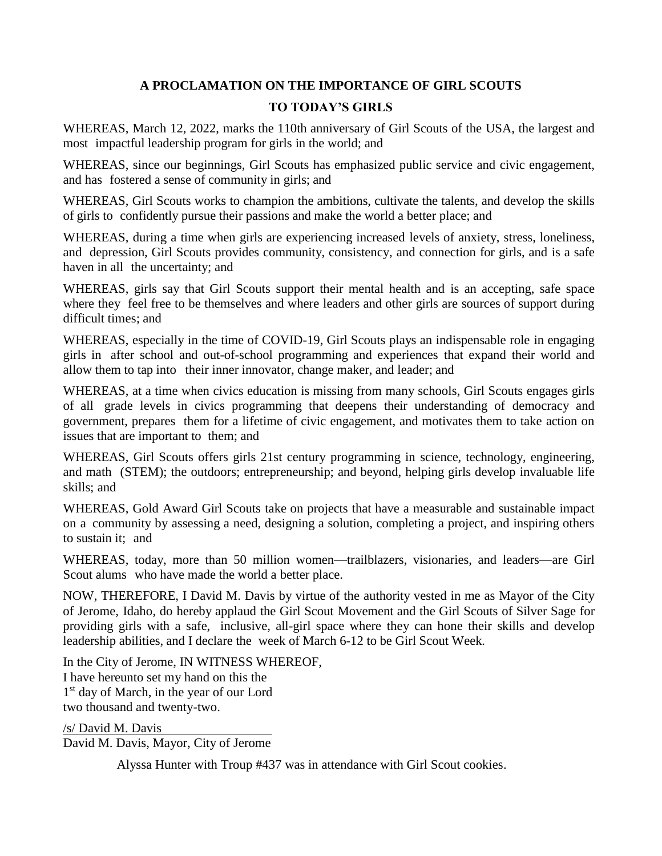# **A PROCLAMATION ON THE IMPORTANCE OF GIRL SCOUTS TO TODAY'S GIRLS**

WHEREAS, March 12, 2022, marks the 110th anniversary of Girl Scouts of the USA, the largest and most impactful leadership program for girls in the world; and

WHEREAS, since our beginnings, Girl Scouts has emphasized public service and civic engagement, and has fostered a sense of community in girls; and

WHEREAS, Girl Scouts works to champion the ambitions, cultivate the talents, and develop the skills of girls to confidently pursue their passions and make the world a better place; and

WHEREAS, during a time when girls are experiencing increased levels of anxiety, stress, loneliness, and depression, Girl Scouts provides community, consistency, and connection for girls, and is a safe haven in all the uncertainty; and

WHEREAS, girls say that Girl Scouts support their mental health and is an accepting, safe space where they feel free to be themselves and where leaders and other girls are sources of support during difficult times; and

WHEREAS, especially in the time of COVID-19, Girl Scouts plays an indispensable role in engaging girls in after school and out-of-school programming and experiences that expand their world and allow them to tap into their inner innovator, change maker, and leader; and

WHEREAS, at a time when civics education is missing from many schools, Girl Scouts engages girls of all grade levels in civics programming that deepens their understanding of democracy and government, prepares them for a lifetime of civic engagement, and motivates them to take action on issues that are important to them; and

WHEREAS, Girl Scouts offers girls 21st century programming in science, technology, engineering, and math (STEM); the outdoors; entrepreneurship; and beyond, helping girls develop invaluable life skills; and

WHEREAS, Gold Award Girl Scouts take on projects that have a measurable and sustainable impact on a community by assessing a need, designing a solution, completing a project, and inspiring others to sustain it; and

WHEREAS, today, more than 50 million women—trailblazers, visionaries, and leaders—are Girl Scout alums who have made the world a better place.

NOW, THEREFORE, I David M. Davis by virtue of the authority vested in me as Mayor of the City of Jerome, Idaho, do hereby applaud the Girl Scout Movement and the Girl Scouts of Silver Sage for providing girls with a safe, inclusive, all-girl space where they can hone their skills and develop leadership abilities, and I declare the week of March 6-12 to be Girl Scout Week.

In the City of Jerome, IN WITNESS WHEREOF, I have hereunto set my hand on this the 1 st day of March, in the year of our Lord two thousand and twenty-two.

/s/ David M. Davis David M. Davis, Mayor, City of Jerome

Alyssa Hunter with Troup #437 was in attendance with Girl Scout cookies.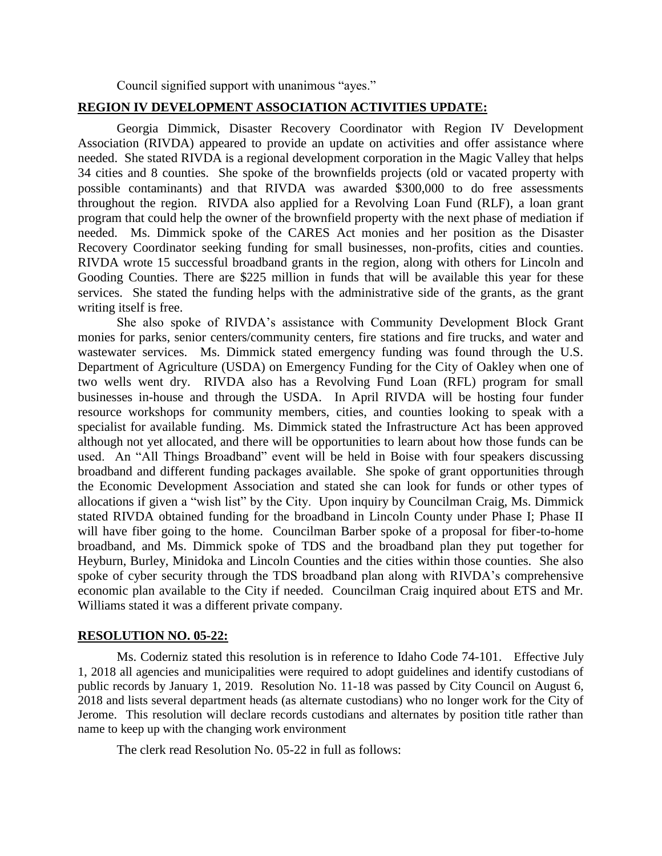Council signified support with unanimous "ayes."

## **REGION IV DEVELOPMENT ASSOCIATION ACTIVITIES UPDATE:**

Georgia Dimmick, Disaster Recovery Coordinator with Region IV Development Association (RIVDA) appeared to provide an update on activities and offer assistance where needed. She stated RIVDA is a regional development corporation in the Magic Valley that helps 34 cities and 8 counties. She spoke of the brownfields projects (old or vacated property with possible contaminants) and that RIVDA was awarded \$300,000 to do free assessments throughout the region. RIVDA also applied for a Revolving Loan Fund (RLF), a loan grant program that could help the owner of the brownfield property with the next phase of mediation if needed. Ms. Dimmick spoke of the CARES Act monies and her position as the Disaster Recovery Coordinator seeking funding for small businesses, non-profits, cities and counties. RIVDA wrote 15 successful broadband grants in the region, along with others for Lincoln and Gooding Counties. There are \$225 million in funds that will be available this year for these services. She stated the funding helps with the administrative side of the grants, as the grant writing itself is free.

She also spoke of RIVDA's assistance with Community Development Block Grant monies for parks, senior centers/community centers, fire stations and fire trucks, and water and wastewater services. Ms. Dimmick stated emergency funding was found through the U.S. Department of Agriculture (USDA) on Emergency Funding for the City of Oakley when one of two wells went dry. RIVDA also has a Revolving Fund Loan (RFL) program for small businesses in-house and through the USDA. In April RIVDA will be hosting four funder resource workshops for community members, cities, and counties looking to speak with a specialist for available funding. Ms. Dimmick stated the Infrastructure Act has been approved although not yet allocated, and there will be opportunities to learn about how those funds can be used. An "All Things Broadband" event will be held in Boise with four speakers discussing broadband and different funding packages available. She spoke of grant opportunities through the Economic Development Association and stated she can look for funds or other types of allocations if given a "wish list" by the City. Upon inquiry by Councilman Craig, Ms. Dimmick stated RIVDA obtained funding for the broadband in Lincoln County under Phase I; Phase II will have fiber going to the home. Councilman Barber spoke of a proposal for fiber-to-home broadband, and Ms. Dimmick spoke of TDS and the broadband plan they put together for Heyburn, Burley, Minidoka and Lincoln Counties and the cities within those counties. She also spoke of cyber security through the TDS broadband plan along with RIVDA's comprehensive economic plan available to the City if needed. Councilman Craig inquired about ETS and Mr. Williams stated it was a different private company.

#### **RESOLUTION NO. 05-22:**

Ms. Coderniz stated this resolution is in reference to Idaho Code 74-101. Effective July 1, 2018 all agencies and municipalities were required to adopt guidelines and identify custodians of public records by January 1, 2019. Resolution No. 11-18 was passed by City Council on August 6, 2018 and lists several department heads (as alternate custodians) who no longer work for the City of Jerome. This resolution will declare records custodians and alternates by position title rather than name to keep up with the changing work environment

The clerk read Resolution No. 05-22 in full as follows: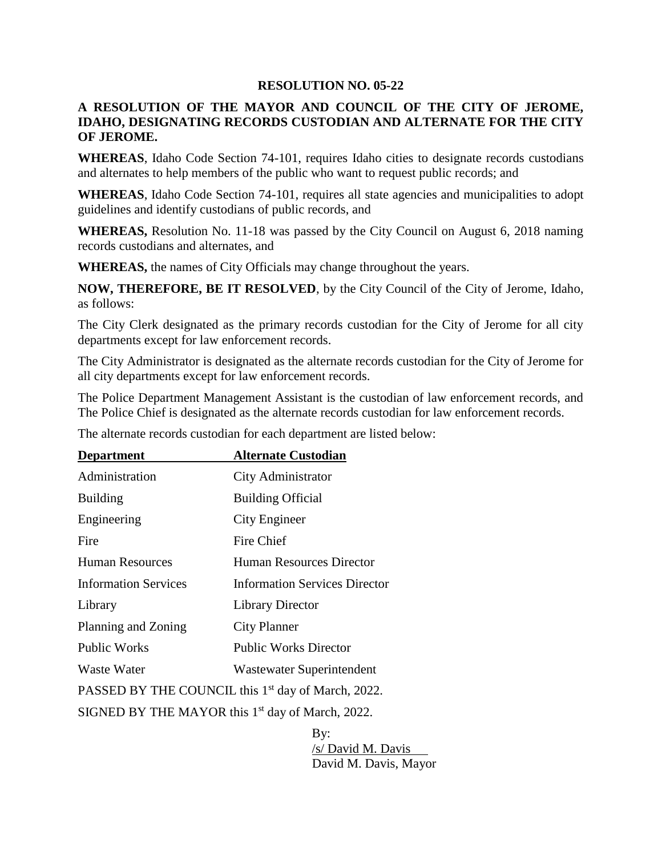### **RESOLUTION NO. 05-22**

# **A RESOLUTION OF THE MAYOR AND COUNCIL OF THE CITY OF JEROME, IDAHO, DESIGNATING RECORDS CUSTODIAN AND ALTERNATE FOR THE CITY OF JEROME.**

**WHEREAS**, Idaho Code Section 74-101, requires Idaho cities to designate records custodians and alternates to help members of the public who want to request public records; and

**WHEREAS**, Idaho Code Section 74-101, requires all state agencies and municipalities to adopt guidelines and identify custodians of public records, and

**WHEREAS,** Resolution No. 11-18 was passed by the City Council on August 6, 2018 naming records custodians and alternates, and

**WHEREAS,** the names of City Officials may change throughout the years.

**NOW, THEREFORE, BE IT RESOLVED**, by the City Council of the City of Jerome, Idaho, as follows:

The City Clerk designated as the primary records custodian for the City of Jerome for all city departments except for law enforcement records.

The City Administrator is designated as the alternate records custodian for the City of Jerome for all city departments except for law enforcement records.

The Police Department Management Assistant is the custodian of law enforcement records, and The Police Chief is designated as the alternate records custodian for law enforcement records.

| <b>Department</b>                                              | <b>Alternate Custodian</b>           |
|----------------------------------------------------------------|--------------------------------------|
| Administration                                                 | City Administrator                   |
| <b>Building</b>                                                | <b>Building Official</b>             |
| Engineering                                                    | City Engineer                        |
| Fire                                                           | Fire Chief                           |
| <b>Human Resources</b>                                         | Human Resources Director             |
| <b>Information Services</b>                                    | <b>Information Services Director</b> |
| Library                                                        | <b>Library Director</b>              |
| Planning and Zoning                                            | City Planner                         |
| <b>Public Works</b>                                            | <b>Public Works Director</b>         |
| Waste Water                                                    | Wastewater Superintendent            |
| PASSED BY THE COUNCIL this 1 <sup>st</sup> day of March, 2022. |                                      |
| SIGNED BY THE MAYOR this 1 <sup>st</sup> day of March, 2022.   |                                      |

The alternate records custodian for each department are listed below:

By: /s/ David M. Davis David M. Davis, Mayor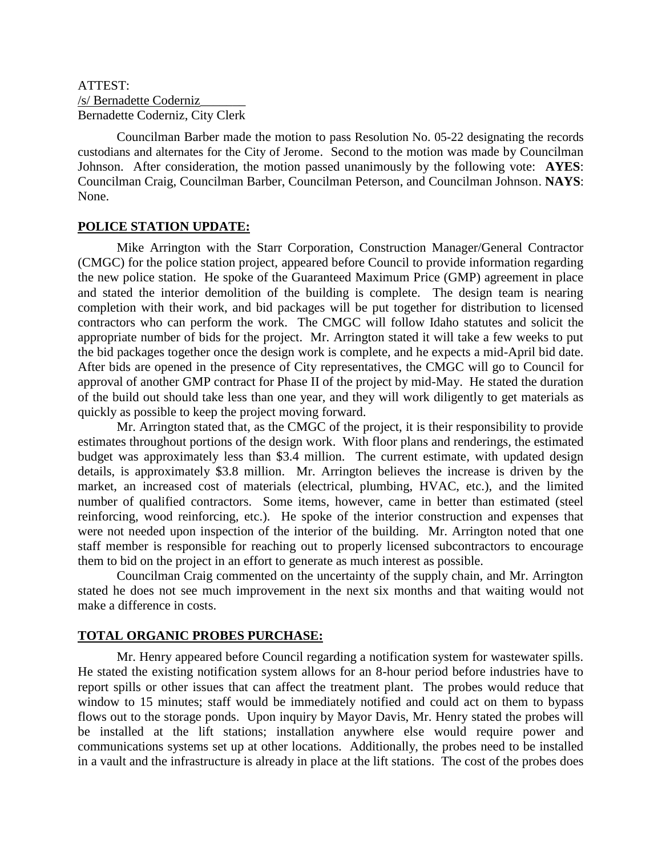## ATTEST: /s/ Bernadette Coderniz\_\_\_\_\_\_\_ Bernadette Coderniz, City Clerk

Councilman Barber made the motion to pass Resolution No. 05-22 designating the records custodians and alternates for the City of Jerome. Second to the motion was made by Councilman Johnson. After consideration, the motion passed unanimously by the following vote: **AYES**: Councilman Craig, Councilman Barber, Councilman Peterson, and Councilman Johnson. **NAYS**: None.

## **POLICE STATION UPDATE:**

Mike Arrington with the Starr Corporation, Construction Manager/General Contractor (CMGC) for the police station project, appeared before Council to provide information regarding the new police station. He spoke of the Guaranteed Maximum Price (GMP) agreement in place and stated the interior demolition of the building is complete. The design team is nearing completion with their work, and bid packages will be put together for distribution to licensed contractors who can perform the work. The CMGC will follow Idaho statutes and solicit the appropriate number of bids for the project. Mr. Arrington stated it will take a few weeks to put the bid packages together once the design work is complete, and he expects a mid-April bid date. After bids are opened in the presence of City representatives, the CMGC will go to Council for approval of another GMP contract for Phase II of the project by mid-May. He stated the duration of the build out should take less than one year, and they will work diligently to get materials as quickly as possible to keep the project moving forward.

Mr. Arrington stated that, as the CMGC of the project, it is their responsibility to provide estimates throughout portions of the design work. With floor plans and renderings, the estimated budget was approximately less than \$3.4 million. The current estimate, with updated design details, is approximately \$3.8 million. Mr. Arrington believes the increase is driven by the market, an increased cost of materials (electrical, plumbing, HVAC, etc.), and the limited number of qualified contractors. Some items, however, came in better than estimated (steel reinforcing, wood reinforcing, etc.). He spoke of the interior construction and expenses that were not needed upon inspection of the interior of the building. Mr. Arrington noted that one staff member is responsible for reaching out to properly licensed subcontractors to encourage them to bid on the project in an effort to generate as much interest as possible.

Councilman Craig commented on the uncertainty of the supply chain, and Mr. Arrington stated he does not see much improvement in the next six months and that waiting would not make a difference in costs.

## **TOTAL ORGANIC PROBES PURCHASE:**

Mr. Henry appeared before Council regarding a notification system for wastewater spills. He stated the existing notification system allows for an 8-hour period before industries have to report spills or other issues that can affect the treatment plant. The probes would reduce that window to 15 minutes; staff would be immediately notified and could act on them to bypass flows out to the storage ponds. Upon inquiry by Mayor Davis, Mr. Henry stated the probes will be installed at the lift stations; installation anywhere else would require power and communications systems set up at other locations. Additionally, the probes need to be installed in a vault and the infrastructure is already in place at the lift stations. The cost of the probes does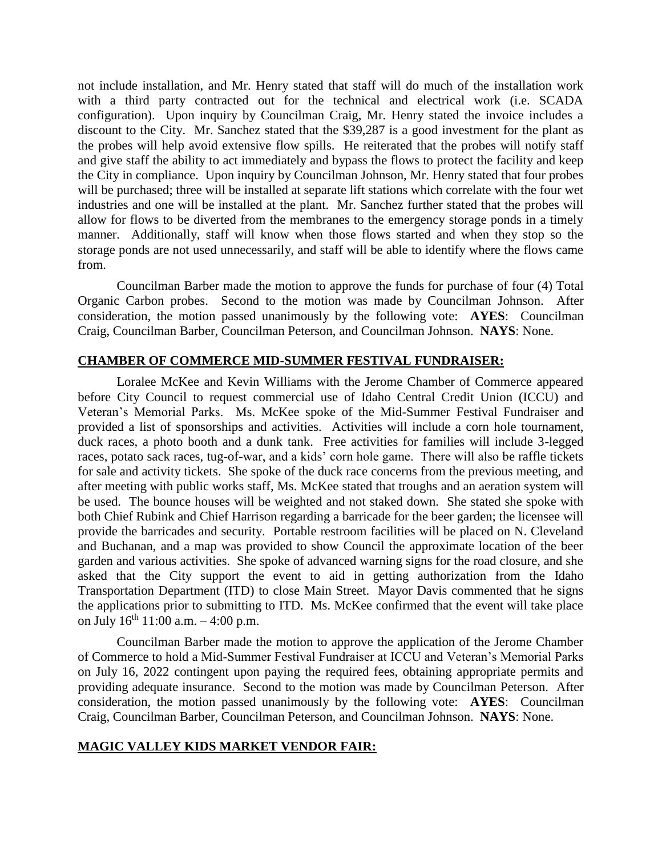not include installation, and Mr. Henry stated that staff will do much of the installation work with a third party contracted out for the technical and electrical work (i.e. SCADA configuration). Upon inquiry by Councilman Craig, Mr. Henry stated the invoice includes a discount to the City. Mr. Sanchez stated that the \$39,287 is a good investment for the plant as the probes will help avoid extensive flow spills. He reiterated that the probes will notify staff and give staff the ability to act immediately and bypass the flows to protect the facility and keep the City in compliance. Upon inquiry by Councilman Johnson, Mr. Henry stated that four probes will be purchased; three will be installed at separate lift stations which correlate with the four wet industries and one will be installed at the plant. Mr. Sanchez further stated that the probes will allow for flows to be diverted from the membranes to the emergency storage ponds in a timely manner. Additionally, staff will know when those flows started and when they stop so the storage ponds are not used unnecessarily, and staff will be able to identify where the flows came from.

Councilman Barber made the motion to approve the funds for purchase of four (4) Total Organic Carbon probes. Second to the motion was made by Councilman Johnson. After consideration, the motion passed unanimously by the following vote: **AYES**: Councilman Craig, Councilman Barber, Councilman Peterson, and Councilman Johnson. **NAYS**: None.

## **CHAMBER OF COMMERCE MID-SUMMER FESTIVAL FUNDRAISER:**

Loralee McKee and Kevin Williams with the Jerome Chamber of Commerce appeared before City Council to request commercial use of Idaho Central Credit Union (ICCU) and Veteran's Memorial Parks. Ms. McKee spoke of the Mid-Summer Festival Fundraiser and provided a list of sponsorships and activities. Activities will include a corn hole tournament, duck races, a photo booth and a dunk tank. Free activities for families will include 3-legged races, potato sack races, tug-of-war, and a kids' corn hole game. There will also be raffle tickets for sale and activity tickets. She spoke of the duck race concerns from the previous meeting, and after meeting with public works staff, Ms. McKee stated that troughs and an aeration system will be used. The bounce houses will be weighted and not staked down. She stated she spoke with both Chief Rubink and Chief Harrison regarding a barricade for the beer garden; the licensee will provide the barricades and security. Portable restroom facilities will be placed on N. Cleveland and Buchanan, and a map was provided to show Council the approximate location of the beer garden and various activities. She spoke of advanced warning signs for the road closure, and she asked that the City support the event to aid in getting authorization from the Idaho Transportation Department (ITD) to close Main Street. Mayor Davis commented that he signs the applications prior to submitting to ITD. Ms. McKee confirmed that the event will take place on July  $16^{th}$  11:00 a.m.  $-4:00$  p.m.

Councilman Barber made the motion to approve the application of the Jerome Chamber of Commerce to hold a Mid-Summer Festival Fundraiser at ICCU and Veteran's Memorial Parks on July 16, 2022 contingent upon paying the required fees, obtaining appropriate permits and providing adequate insurance. Second to the motion was made by Councilman Peterson. After consideration, the motion passed unanimously by the following vote: **AYES**: Councilman Craig, Councilman Barber, Councilman Peterson, and Councilman Johnson. **NAYS**: None.

## **MAGIC VALLEY KIDS MARKET VENDOR FAIR:**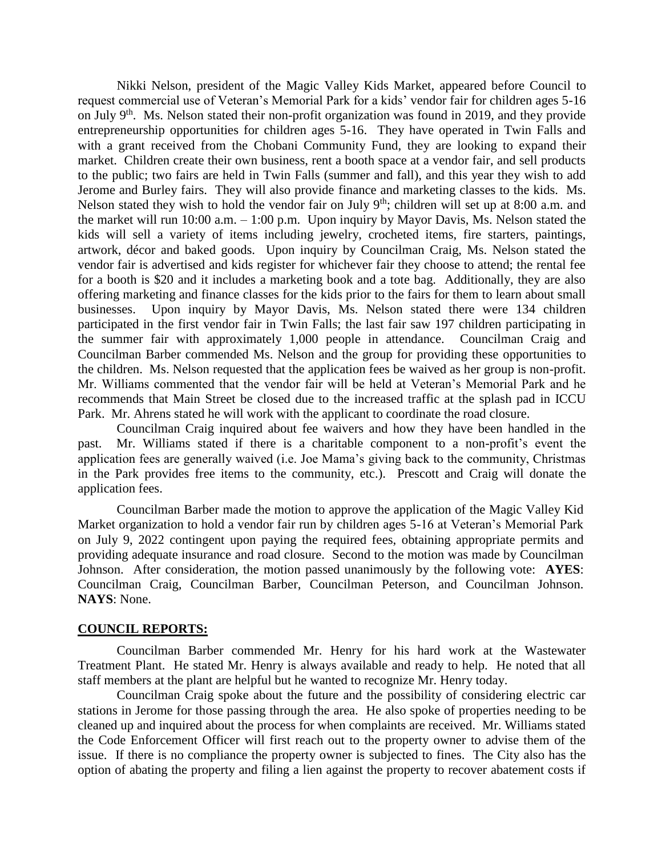Nikki Nelson, president of the Magic Valley Kids Market, appeared before Council to request commercial use of Veteran's Memorial Park for a kids' vendor fair for children ages 5-16 on July 9<sup>th</sup>. Ms. Nelson stated their non-profit organization was found in 2019, and they provide entrepreneurship opportunities for children ages 5-16. They have operated in Twin Falls and with a grant received from the Chobani Community Fund, they are looking to expand their market. Children create their own business, rent a booth space at a vendor fair, and sell products to the public; two fairs are held in Twin Falls (summer and fall), and this year they wish to add Jerome and Burley fairs. They will also provide finance and marketing classes to the kids. Ms. Nelson stated they wish to hold the vendor fair on July  $9<sup>th</sup>$ ; children will set up at 8:00 a.m. and the market will run 10:00 a.m. – 1:00 p.m. Upon inquiry by Mayor Davis, Ms. Nelson stated the kids will sell a variety of items including jewelry, crocheted items, fire starters, paintings, artwork, décor and baked goods. Upon inquiry by Councilman Craig, Ms. Nelson stated the vendor fair is advertised and kids register for whichever fair they choose to attend; the rental fee for a booth is \$20 and it includes a marketing book and a tote bag. Additionally, they are also offering marketing and finance classes for the kids prior to the fairs for them to learn about small businesses. Upon inquiry by Mayor Davis, Ms. Nelson stated there were 134 children participated in the first vendor fair in Twin Falls; the last fair saw 197 children participating in the summer fair with approximately 1,000 people in attendance. Councilman Craig and Councilman Barber commended Ms. Nelson and the group for providing these opportunities to the children. Ms. Nelson requested that the application fees be waived as her group is non-profit. Mr. Williams commented that the vendor fair will be held at Veteran's Memorial Park and he recommends that Main Street be closed due to the increased traffic at the splash pad in ICCU Park. Mr. Ahrens stated he will work with the applicant to coordinate the road closure.

Councilman Craig inquired about fee waivers and how they have been handled in the past. Mr. Williams stated if there is a charitable component to a non-profit's event the application fees are generally waived (i.e. Joe Mama's giving back to the community, Christmas in the Park provides free items to the community, etc.). Prescott and Craig will donate the application fees.

Councilman Barber made the motion to approve the application of the Magic Valley Kid Market organization to hold a vendor fair run by children ages 5-16 at Veteran's Memorial Park on July 9, 2022 contingent upon paying the required fees, obtaining appropriate permits and providing adequate insurance and road closure. Second to the motion was made by Councilman Johnson. After consideration, the motion passed unanimously by the following vote: **AYES**: Councilman Craig, Councilman Barber, Councilman Peterson, and Councilman Johnson. **NAYS**: None.

#### **COUNCIL REPORTS:**

Councilman Barber commended Mr. Henry for his hard work at the Wastewater Treatment Plant. He stated Mr. Henry is always available and ready to help. He noted that all staff members at the plant are helpful but he wanted to recognize Mr. Henry today.

Councilman Craig spoke about the future and the possibility of considering electric car stations in Jerome for those passing through the area. He also spoke of properties needing to be cleaned up and inquired about the process for when complaints are received. Mr. Williams stated the Code Enforcement Officer will first reach out to the property owner to advise them of the issue. If there is no compliance the property owner is subjected to fines. The City also has the option of abating the property and filing a lien against the property to recover abatement costs if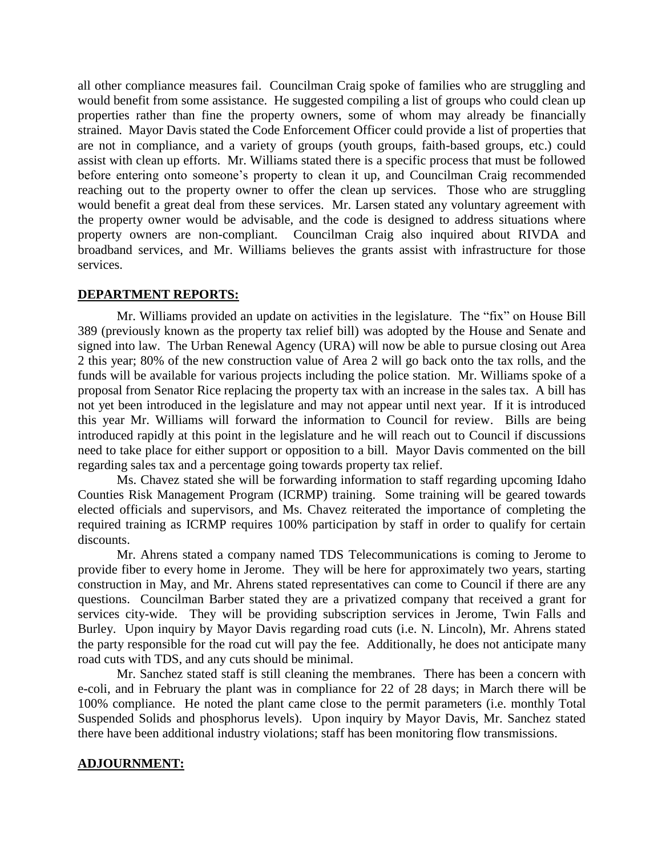all other compliance measures fail. Councilman Craig spoke of families who are struggling and would benefit from some assistance. He suggested compiling a list of groups who could clean up properties rather than fine the property owners, some of whom may already be financially strained. Mayor Davis stated the Code Enforcement Officer could provide a list of properties that are not in compliance, and a variety of groups (youth groups, faith-based groups, etc.) could assist with clean up efforts. Mr. Williams stated there is a specific process that must be followed before entering onto someone's property to clean it up, and Councilman Craig recommended reaching out to the property owner to offer the clean up services. Those who are struggling would benefit a great deal from these services. Mr. Larsen stated any voluntary agreement with the property owner would be advisable, and the code is designed to address situations where property owners are non-compliant. Councilman Craig also inquired about RIVDA and broadband services, and Mr. Williams believes the grants assist with infrastructure for those services.

## **DEPARTMENT REPORTS:**

Mr. Williams provided an update on activities in the legislature. The "fix" on House Bill 389 (previously known as the property tax relief bill) was adopted by the House and Senate and signed into law. The Urban Renewal Agency (URA) will now be able to pursue closing out Area 2 this year; 80% of the new construction value of Area 2 will go back onto the tax rolls, and the funds will be available for various projects including the police station. Mr. Williams spoke of a proposal from Senator Rice replacing the property tax with an increase in the sales tax. A bill has not yet been introduced in the legislature and may not appear until next year. If it is introduced this year Mr. Williams will forward the information to Council for review. Bills are being introduced rapidly at this point in the legislature and he will reach out to Council if discussions need to take place for either support or opposition to a bill. Mayor Davis commented on the bill regarding sales tax and a percentage going towards property tax relief.

Ms. Chavez stated she will be forwarding information to staff regarding upcoming Idaho Counties Risk Management Program (ICRMP) training. Some training will be geared towards elected officials and supervisors, and Ms. Chavez reiterated the importance of completing the required training as ICRMP requires 100% participation by staff in order to qualify for certain discounts.

Mr. Ahrens stated a company named TDS Telecommunications is coming to Jerome to provide fiber to every home in Jerome. They will be here for approximately two years, starting construction in May, and Mr. Ahrens stated representatives can come to Council if there are any questions. Councilman Barber stated they are a privatized company that received a grant for services city-wide. They will be providing subscription services in Jerome, Twin Falls and Burley. Upon inquiry by Mayor Davis regarding road cuts (i.e. N. Lincoln), Mr. Ahrens stated the party responsible for the road cut will pay the fee. Additionally, he does not anticipate many road cuts with TDS, and any cuts should be minimal.

Mr. Sanchez stated staff is still cleaning the membranes. There has been a concern with e-coli, and in February the plant was in compliance for 22 of 28 days; in March there will be 100% compliance. He noted the plant came close to the permit parameters (i.e. monthly Total Suspended Solids and phosphorus levels). Upon inquiry by Mayor Davis, Mr. Sanchez stated there have been additional industry violations; staff has been monitoring flow transmissions.

## **ADJOURNMENT:**